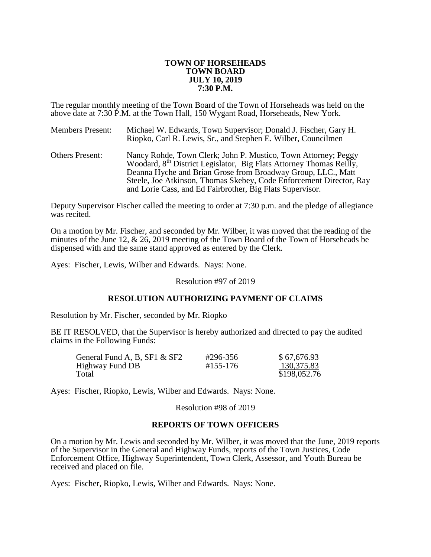### **TOWN OF HORSEHEADS TOWN BOARD JULY 10, 2019 7:30 P.M.**

The regular monthly meeting of the Town Board of the Town of Horseheads was held on the above date at 7:30 P.M. at the Town Hall, 150 Wygant Road, Horseheads, New York.

| <b>Members Present:</b> | Michael W. Edwards, Town Supervisor; Donald J. Fischer, Gary H.<br>Riopko, Carl R. Lewis, Sr., and Stephen E. Wilber, Councilmen                                                                                                                                                                                                                      |
|-------------------------|-------------------------------------------------------------------------------------------------------------------------------------------------------------------------------------------------------------------------------------------------------------------------------------------------------------------------------------------------------|
| <b>Others Present:</b>  | Nancy Rohde, Town Clerk; John P. Mustico, Town Attorney; Peggy<br>Woodard, 8 <sup>th</sup> District Legislator, Big Flats Attorney Thomas Reilly,<br>Deanna Hyche and Brian Grose from Broadway Group, LLC., Matt<br>Steele, Joe Atkinson, Thomas Skebey, Code Enforcement Director, Ray<br>and Lorie Cass, and Ed Fairbrother, Big Flats Supervisor. |

Deputy Supervisor Fischer called the meeting to order at 7:30 p.m. and the pledge of allegiance was recited.

On a motion by Mr. Fischer, and seconded by Mr. Wilber, it was moved that the reading of the minutes of the June 12, & 26, 2019 meeting of the Town Board of the Town of Horseheads be dispensed with and the same stand approved as entered by the Clerk.

Ayes: Fischer, Lewis, Wilber and Edwards. Nays: None.

Resolution #97 of 2019

## **RESOLUTION AUTHORIZING PAYMENT OF CLAIMS**

Resolution by Mr. Fischer, seconded by Mr. Riopko

BE IT RESOLVED, that the Supervisor is hereby authorized and directed to pay the audited claims in the Following Funds:

| General Fund A, B, SF1 & SF2 | #296-356 | \$67,676.93  |
|------------------------------|----------|--------------|
| Highway Fund DB              | #155-176 | 130,375.83   |
| Total                        |          | \$198,052.76 |

Ayes: Fischer, Riopko, Lewis, Wilber and Edwards. Nays: None.

Resolution #98 of 2019

### **REPORTS OF TOWN OFFICERS**

On a motion by Mr. Lewis and seconded by Mr. Wilber, it was moved that the June, 2019 reports of the Supervisor in the General and Highway Funds, reports of the Town Justices, Code Enforcement Office, Highway Superintendent, Town Clerk, Assessor, and Youth Bureau be received and placed on file.

Ayes: Fischer, Riopko, Lewis, Wilber and Edwards. Nays: None.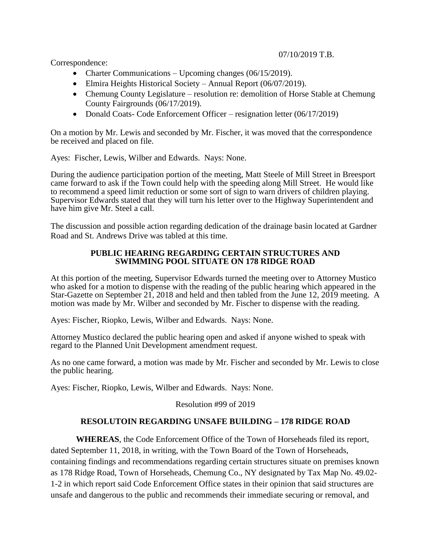Correspondence:

- Charter Communications Upcoming changes (06/15/2019).
- Elmira Heights Historical Society Annual Report (06/07/2019).
- Chemung County Legislature resolution re: demolition of Horse Stable at Chemung County Fairgrounds (06/17/2019).
- Donald Coats- Code Enforcement Officer resignation letter (06/17/2019)

On a motion by Mr. Lewis and seconded by Mr. Fischer, it was moved that the correspondence be received and placed on file.

Ayes: Fischer, Lewis, Wilber and Edwards. Nays: None.

During the audience participation portion of the meeting, Matt Steele of Mill Street in Breesport came forward to ask if the Town could help with the speeding along Mill Street. He would like to recommend a speed limit reduction or some sort of sign to warn drivers of children playing. Supervisor Edwards stated that they will turn his letter over to the Highway Superintendent and have him give Mr. Steel a call.

The discussion and possible action regarding dedication of the drainage basin located at Gardner Road and St. Andrews Drive was tabled at this time.

## **PUBLIC HEARING REGARDING CERTAIN STRUCTURES AND SWIMMING POOL SITUATE ON 178 RIDGE ROAD**

At this portion of the meeting, Supervisor Edwards turned the meeting over to Attorney Mustico who asked for a motion to dispense with the reading of the public hearing which appeared in the Star-Gazette on September 21, 2018 and held and then tabled from the June 12, 2019 meeting. A motion was made by Mr. Wilber and seconded by Mr. Fischer to dispense with the reading.

Ayes: Fischer, Riopko, Lewis, Wilber and Edwards. Nays: None.

Attorney Mustico declared the public hearing open and asked if anyone wished to speak with regard to the Planned Unit Development amendment request.

As no one came forward, a motion was made by Mr. Fischer and seconded by Mr. Lewis to close the public hearing.

Ayes: Fischer, Riopko, Lewis, Wilber and Edwards. Nays: None.

Resolution #99 of 2019

# **RESOLUTOIN REGARDING UNSAFE BUILDING – 178 RIDGE ROAD**

**WHEREAS**, the Code Enforcement Office of the Town of Horseheads filed its report, dated September 11, 2018, in writing, with the Town Board of the Town of Horseheads, containing findings and recommendations regarding certain structures situate on premises known as 178 Ridge Road, Town of Horseheads, Chemung Co., NY designated by Tax Map No. 49.02- 1-2 in which report said Code Enforcement Office states in their opinion that said structures are unsafe and dangerous to the public and recommends their immediate securing or removal, and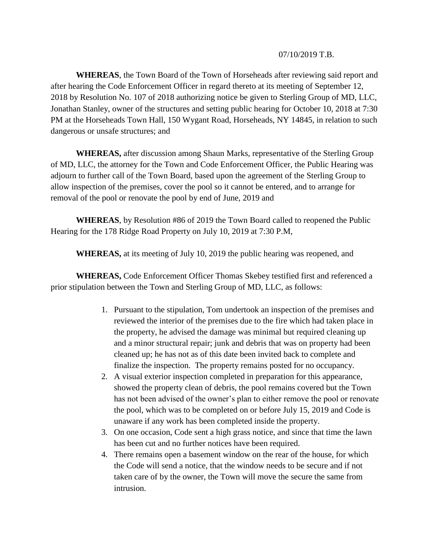## 07/10/2019 T.B.

**WHEREAS**, the Town Board of the Town of Horseheads after reviewing said report and after hearing the Code Enforcement Officer in regard thereto at its meeting of September 12, 2018 by Resolution No. 107 of 2018 authorizing notice be given to Sterling Group of MD, LLC, Jonathan Stanley, owner of the structures and setting public hearing for October 10, 2018 at 7:30 PM at the Horseheads Town Hall, 150 Wygant Road, Horseheads, NY 14845, in relation to such dangerous or unsafe structures; and

**WHEREAS,** after discussion among Shaun Marks, representative of the Sterling Group of MD, LLC, the attorney for the Town and Code Enforcement Officer, the Public Hearing was adjourn to further call of the Town Board, based upon the agreement of the Sterling Group to allow inspection of the premises, cover the pool so it cannot be entered, and to arrange for removal of the pool or renovate the pool by end of June, 2019 and

**WHEREAS**, by Resolution #86 of 2019 the Town Board called to reopened the Public Hearing for the 178 Ridge Road Property on July 10, 2019 at 7:30 P.M,

**WHEREAS,** at its meeting of July 10, 2019 the public hearing was reopened, and

**WHEREAS,** Code Enforcement Officer Thomas Skebey testified first and referenced a prior stipulation between the Town and Sterling Group of MD, LLC, as follows:

- 1. Pursuant to the stipulation, Tom undertook an inspection of the premises and reviewed the interior of the premises due to the fire which had taken place in the property, he advised the damage was minimal but required cleaning up and a minor structural repair; junk and debris that was on property had been cleaned up; he has not as of this date been invited back to complete and finalize the inspection. The property remains posted for no occupancy.
- 2. A visual exterior inspection completed in preparation for this appearance, showed the property clean of debris, the pool remains covered but the Town has not been advised of the owner's plan to either remove the pool or renovate the pool, which was to be completed on or before July 15, 2019 and Code is unaware if any work has been completed inside the property.
- 3. On one occasion, Code sent a high grass notice, and since that time the lawn has been cut and no further notices have been required.
- 4. There remains open a basement window on the rear of the house, for which the Code will send a notice, that the window needs to be secure and if not taken care of by the owner, the Town will move the secure the same from intrusion.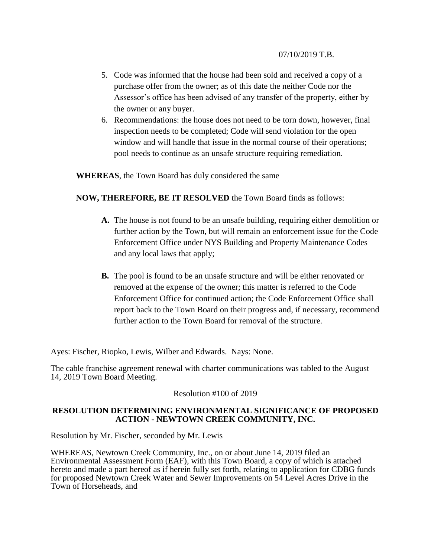- 5. Code was informed that the house had been sold and received a copy of a purchase offer from the owner; as of this date the neither Code nor the Assessor's office has been advised of any transfer of the property, either by the owner or any buyer.
- 6. Recommendations: the house does not need to be torn down, however, final inspection needs to be completed; Code will send violation for the open window and will handle that issue in the normal course of their operations; pool needs to continue as an unsafe structure requiring remediation.

**WHEREAS**, the Town Board has duly considered the same

## **NOW, THEREFORE, BE IT RESOLVED** the Town Board finds as follows:

- **A.** The house is not found to be an unsafe building, requiring either demolition or further action by the Town, but will remain an enforcement issue for the Code Enforcement Office under NYS Building and Property Maintenance Codes and any local laws that apply;
- **B.** The pool is found to be an unsafe structure and will be either renovated or removed at the expense of the owner; this matter is referred to the Code Enforcement Office for continued action; the Code Enforcement Office shall report back to the Town Board on their progress and, if necessary, recommend further action to the Town Board for removal of the structure.

Ayes: Fischer, Riopko, Lewis, Wilber and Edwards. Nays: None.

The cable franchise agreement renewal with charter communications was tabled to the August 14, 2019 Town Board Meeting.

Resolution #100 of 2019

## **RESOLUTION DETERMINING ENVIRONMENTAL SIGNIFICANCE OF PROPOSED ACTION - NEWTOWN CREEK COMMUNITY, INC.**

Resolution by Mr. Fischer, seconded by Mr. Lewis

WHEREAS, Newtown Creek Community, Inc., on or about June 14, 2019 filed an Environmental Assessment Form (EAF), with this Town Board, a copy of which is attached hereto and made a part hereof as if herein fully set forth, relating to application for CDBG funds for proposed Newtown Creek Water and Sewer Improvements on 54 Level Acres Drive in the Town of Horseheads, and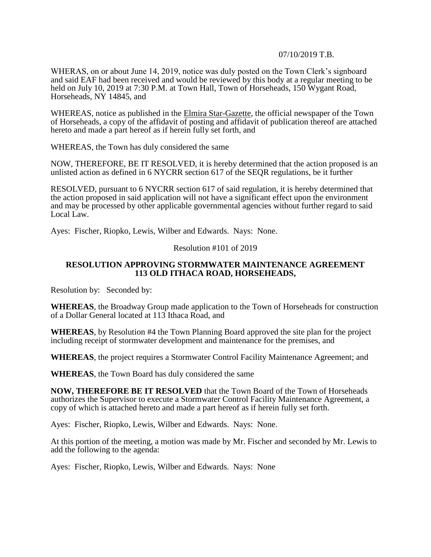## 07/10/2019 T.B.

WHERAS, on or about June 14, 2019, notice was duly posted on the Town Clerk's signboard and said EAF had been received and would be reviewed by this body at a regular meeting to be held on July 10, 2019 at 7:30 P.M. at Town Hall, Town of Horseheads, 150 Wygant Road, Horseheads, NY 14845, and

WHEREAS, notice as published in the Elmira Star-Gazette, the official newspaper of the Town of Horseheads, a copy of the affidavit of posting and affidavit of publication thereof are attached hereto and made a part hereof as if herein fully set forth, and

WHEREAS, the Town has duly considered the same

NOW, THEREFORE, BE IT RESOLVED, it is hereby determined that the action proposed is an unlisted action as defined in 6 NYCRR section 617 of the SEQR regulations, be it further

RESOLVED, pursuant to 6 NYCRR section 617 of said regulation, it is hereby determined that the action proposed in said application will not have a significant effect upon the environment and may be processed by other applicable governmental agencies without further regard to said Local Law.

Ayes: Fischer, Riopko, Lewis, Wilber and Edwards. Nays: None.

### Resolution #101 of 2019

### **RESOLUTION APPROVING STORMWATER MAINTENANCE AGREEMENT 113 OLD ITHACA ROAD, HORSEHEADS,**

Resolution by: Seconded by:

**WHEREAS**, the Broadway Group made application to the Town of Horseheads for construction of a Dollar General located at 113 Ithaca Road, and

**WHEREAS**, by Resolution #4 the Town Planning Board approved the site plan for the project including receipt of stormwater development and maintenance for the premises, and

**WHEREAS**, the project requires a Stormwater Control Facility Maintenance Agreement; and

**WHEREAS**, the Town Board has duly considered the same

**NOW, THEREFORE BE IT RESOLVED** that the Town Board of the Town of Horseheads authorizes the Supervisor to execute a Stormwater Control Facility Maintenance Agreement, a copy of which is attached hereto and made a part hereof as if herein fully set forth.

Ayes: Fischer, Riopko, Lewis, Wilber and Edwards. Nays: None.

At this portion of the meeting, a motion was made by Mr. Fischer and seconded by Mr. Lewis to add the following to the agenda:

Ayes: Fischer, Riopko, Lewis, Wilber and Edwards. Nays: None